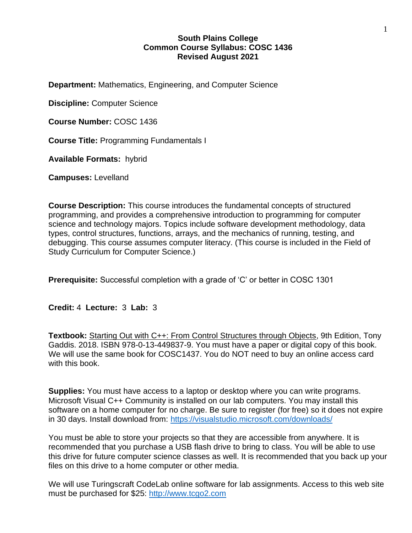## **South Plains College Common Course Syllabus: COSC 1436 Revised August 2021**

**Department:** Mathematics, Engineering, and Computer Science

**Discipline:** Computer Science

**Course Number:** COSC 1436

**Course Title:** Programming Fundamentals I

**Available Formats:** hybrid

**Campuses:** Levelland

**Course Description:** This course introduces the fundamental concepts of structured programming, and provides a comprehensive introduction to programming for computer science and technology majors. Topics include software development methodology, data types, control structures, functions, arrays, and the mechanics of running, testing, and debugging. This course assumes computer literacy. (This course is included in the Field of Study Curriculum for Computer Science.)

**Prerequisite:** Successful completion with a grade of 'C' or better in COSC 1301

**Credit:** 4 **Lecture:** 3 **Lab:** 3

**Textbook:** Starting Out with C++: From Control Structures through Objects, 9th Edition, Tony Gaddis. 2018. ISBN 978-0-13-449837-9. You must have a paper or digital copy of this book. We will use the same book for COSC1437. You do NOT need to buy an online access card with this book.

**Supplies:** You must have access to a laptop or desktop where you can write programs. Microsoft Visual C++ Community is installed on our lab computers. You may install this software on a home computer for no charge. Be sure to register (for free) so it does not expire in 30 days. Install download from:<https://visualstudio.microsoft.com/downloads/>

You must be able to store your projects so that they are accessible from anywhere. It is recommended that you purchase a USB flash drive to bring to class. You will be able to use this drive for future computer science classes as well. It is recommended that you back up your files on this drive to a home computer or other media.

We will use Turingscraft CodeLab online software for lab assignments. Access to this web site must be purchased for \$25: [http://www.tcgo2.com](http://www.tcgo2.com/)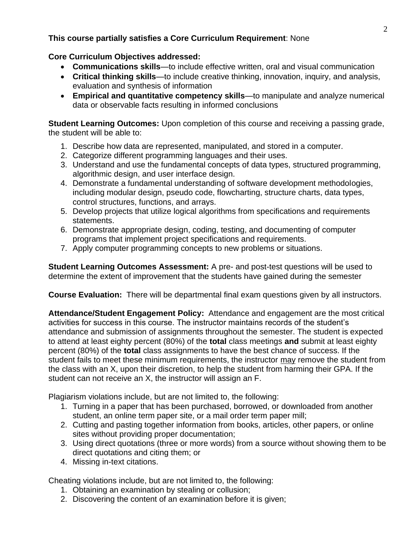# **This course partially satisfies a Core Curriculum Requirement**: None

# **Core Curriculum Objectives addressed:**

- **Communications skills**—to include effective written, oral and visual communication
- **Critical thinking skills**—to include creative thinking, innovation, inquiry, and analysis, evaluation and synthesis of information
- **Empirical and quantitative competency skills**—to manipulate and analyze numerical data or observable facts resulting in informed conclusions

**Student Learning Outcomes:** Upon completion of this course and receiving a passing grade, the student will be able to:

- 1. Describe how data are represented, manipulated, and stored in a computer.
- 2. Categorize different programming languages and their uses.
- 3. Understand and use the fundamental concepts of data types, structured programming, algorithmic design, and user interface design.
- 4. Demonstrate a fundamental understanding of software development methodologies, including modular design, pseudo code, flowcharting, structure charts, data types, control structures, functions, and arrays.
- 5. Develop projects that utilize logical algorithms from specifications and requirements statements.
- 6. Demonstrate appropriate design, coding, testing, and documenting of computer programs that implement project specifications and requirements.
- 7. Apply computer programming concepts to new problems or situations.

**Student Learning Outcomes Assessment:** A pre- and post-test questions will be used to determine the extent of improvement that the students have gained during the semester

**Course Evaluation:** There will be departmental final exam questions given by all instructors.

**Attendance/Student Engagement Policy:** Attendance and engagement are the most critical activities for success in this course. The instructor maintains records of the student's attendance and submission of assignments throughout the semester. The student is expected to attend at least eighty percent (80%) of the **total** class meetings **and** submit at least eighty percent (80%) of the **total** class assignments to have the best chance of success. If the student fails to meet these minimum requirements, the instructor may remove the student from the class with an X, upon their discretion, to help the student from harming their GPA. If the student can not receive an X, the instructor will assign an F.

Plagiarism violations include, but are not limited to, the following:

- 1. Turning in a paper that has been purchased, borrowed, or downloaded from another student, an online term paper site, or a mail order term paper mill;
- 2. Cutting and pasting together information from books, articles, other papers, or online sites without providing proper documentation;
- 3. Using direct quotations (three or more words) from a source without showing them to be direct quotations and citing them; or
- 4. Missing in-text citations.

Cheating violations include, but are not limited to, the following:

- 1. Obtaining an examination by stealing or collusion;
- 2. Discovering the content of an examination before it is given;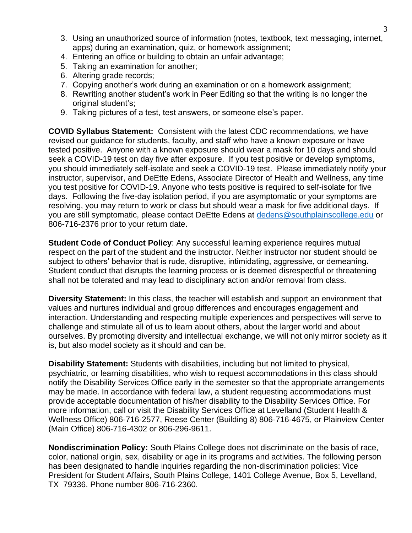- 3. Using an unauthorized source of information (notes, textbook, text messaging, internet, apps) during an examination, quiz, or homework assignment;
- 4. Entering an office or building to obtain an unfair advantage;
- 5. Taking an examination for another;
- 6. Altering grade records;
- 7. Copying another's work during an examination or on a homework assignment;
- 8. Rewriting another student's work in Peer Editing so that the writing is no longer the original student's;
- 9. Taking pictures of a test, test answers, or someone else's paper.

**COVID Syllabus Statement:** Consistent with the latest CDC recommendations, we have revised our guidance for students, faculty, and staff who have a known exposure or have tested positive. Anyone with a known exposure should wear a mask for 10 days and should seek a COVID-19 test on day five after exposure. If you test positive or develop symptoms, you should immediately self-isolate and seek a COVID-19 test. Please immediately notify your instructor, supervisor, and DeEtte Edens, Associate Director of Health and Wellness, any time you test positive for COVID-19. Anyone who tests positive is required to self-isolate for five days. Following the five-day isolation period, if you are asymptomatic or your symptoms are resolving, you may return to work or class but should wear a mask for five additional days. If you are still symptomatic, please contact DeEtte Edens at<dedens@southplainscollege.edu> or 806-716-2376 prior to your return date.

**Student Code of Conduct Policy**: Any successful learning experience requires mutual respect on the part of the student and the instructor. Neither instructor nor student should be subject to others' behavior that is rude, disruptive, intimidating, aggressive, or demeaning**.**  Student conduct that disrupts the learning process or is deemed disrespectful or threatening shall not be tolerated and may lead to disciplinary action and/or removal from class.

**Diversity Statement:** In this class, the teacher will establish and support an environment that values and nurtures individual and group differences and encourages engagement and interaction. Understanding and respecting multiple experiences and perspectives will serve to challenge and stimulate all of us to learn about others, about the larger world and about ourselves. By promoting diversity and intellectual exchange, we will not only mirror society as it is, but also model society as it should and can be.

**Disability Statement:** Students with disabilities, including but not limited to physical, psychiatric, or learning disabilities, who wish to request accommodations in this class should notify the Disability Services Office early in the semester so that the appropriate arrangements may be made. In accordance with federal law, a student requesting accommodations must provide acceptable documentation of his/her disability to the Disability Services Office. For more information, call or visit the Disability Services Office at Levelland (Student Health & Wellness Office) 806-716-2577, Reese Center (Building 8) 806-716-4675, or Plainview Center (Main Office) 806-716-4302 or 806-296-9611.

**Nondiscrimination Policy:** South Plains College does not discriminate on the basis of race, color, national origin, sex, disability or age in its programs and activities. The following person has been designated to handle inquiries regarding the non-discrimination policies: Vice President for Student Affairs, South Plains College, 1401 College Avenue, Box 5, Levelland, TX 79336. Phone number 806-716-2360.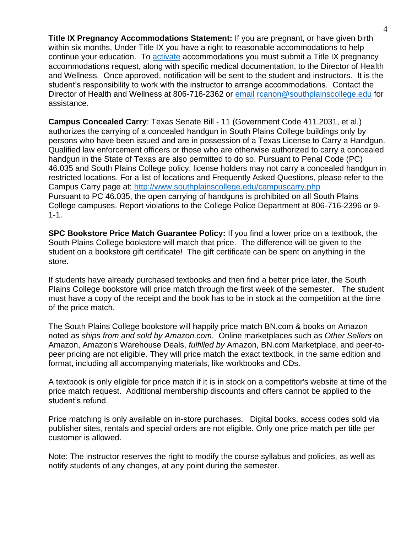**Title IX Pregnancy Accommodations Statement:** If you are pregnant, or have given birth within six months, Under Title IX you have a right to reasonable accommodations to help continue your education. To [activate](http://www.southplainscollege.edu/employees/manualshandbooks/facultyhandbook/sec4.php) accommodations you must submit a Title IX pregnancy accommodations request, along with specific medical documentation, to the Director of Health and Wellness. Once approved, notification will be sent to the student and instructors. It is the student's responsibility to work with the instructor to arrange accommodations. Contact the Director of Health and Wellness at 806-716-2362 or [email](http://www.southplainscollege.edu/employees/manualshandbooks/facultyhandbook/sec4.php) [rcanon@southplainscollege.edu](mailto:rcanon@southplainscollege.edu) for assistance.

**Campus Concealed Carry**: Texas Senate Bill - 11 (Government Code 411.2031, et al.) authorizes the carrying of a concealed handgun in South Plains College buildings only by persons who have been issued and are in possession of a Texas License to Carry a Handgun. Qualified law enforcement officers or those who are otherwise authorized to carry a concealed handgun in the State of Texas are also permitted to do so. Pursuant to Penal Code (PC) 46.035 and South Plains College policy, license holders may not carry a concealed handgun in restricted locations. For a list of locations and Frequently Asked Questions, please refer to the Campus Carry page at: <http://www.southplainscollege.edu/campuscarry.php> Pursuant to PC 46.035, the open carrying of handguns is prohibited on all South Plains College campuses. Report violations to the College Police Department at 806-716-2396 or 9- 1-1.

**SPC Bookstore Price Match Guarantee Policy:** If you find a lower price on a textbook, the South Plains College bookstore will match that price. The difference will be given to the student on a bookstore gift certificate! The gift certificate can be spent on anything in the store.

If students have already purchased textbooks and then find a better price later, the South Plains College bookstore will price match through the first week of the semester. The student must have a copy of the receipt and the book has to be in stock at the competition at the time of the price match.

The South Plains College bookstore will happily price match BN.com & books on Amazon noted as *ships from and sold by Amazon.com*. Online marketplaces such as *Other Sellers* on Amazon, Amazon's Warehouse Deals, *fulfilled by* Amazon, BN.com Marketplace, and peer-topeer pricing are not eligible. They will price match the exact textbook, in the same edition and format, including all accompanying materials, like workbooks and CDs.

A textbook is only eligible for price match if it is in stock on a competitor's website at time of the price match request. Additional membership discounts and offers cannot be applied to the student's refund.

Price matching is only available on in-store purchases. Digital books, access codes sold via publisher sites, rentals and special orders are not eligible. Only one price match per title per customer is allowed.

Note: The instructor reserves the right to modify the course syllabus and policies, as well as notify students of any changes, at any point during the semester.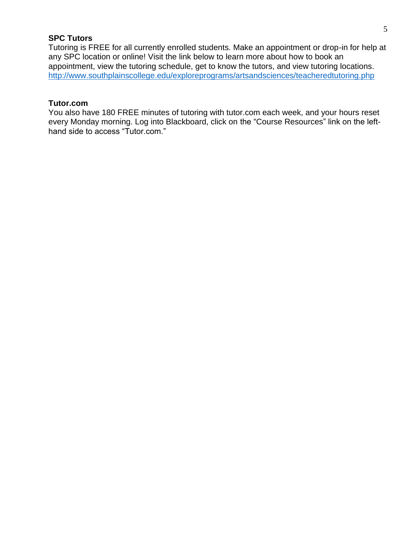# **SPC Tutors**

Tutoring is FREE for all currently enrolled students. Make an appointment or drop-in for help at any SPC location or online! Visit the link below to learn more about how to book an appointment, view the tutoring schedule, get to know the tutors, and view tutoring locations. <http://www.southplainscollege.edu/exploreprograms/artsandsciences/teacheredtutoring.php>

#### **Tutor.com**

You also have 180 FREE minutes of tutoring with tutor.com each week, and your hours reset every Monday morning. Log into Blackboard, click on the "Course Resources" link on the lefthand side to access "Tutor.com."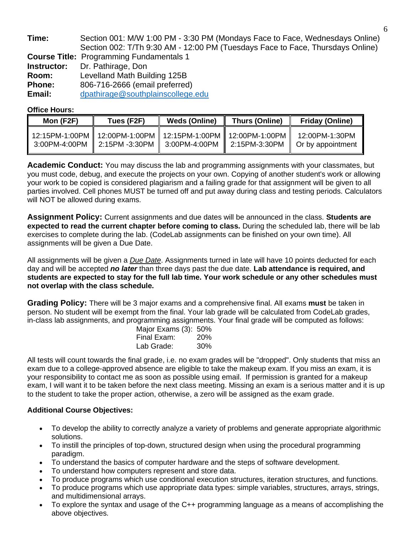| Time:         | Section 001: M/W 1:00 PM - 3:30 PM (Mondays Face to Face, Wednesdays Online)   |
|---------------|--------------------------------------------------------------------------------|
|               | Section 002: T/Th 9:30 AM - 12:00 PM (Tuesdays Face to Face, Thursdays Online) |
|               | <b>Course Title: Programming Fundamentals 1</b>                                |
| Instructor:   | Dr. Pathirage, Don                                                             |
| Room:         | Levelland Math Building 125B                                                   |
| <b>Phone:</b> | 806-716-2666 (email preferred)                                                 |
| Email:        | dpathirage@southplainscollege.edu                                              |

### **Office Hours:**

| Mon (F2F) | Tues (F2F)                                                                                                             | <b>Weds (Online)</b> | <b>Thurs (Online)</b> | <b>Friday (Online)</b>                                        |
|-----------|------------------------------------------------------------------------------------------------------------------------|----------------------|-----------------------|---------------------------------------------------------------|
|           | 12:15PM-1:00PM    12:00PM-1:00PM    12:15PM-1:00PM    12:00PM-1:00PM<br>3:00PM-4:00PM   2:15PM -3:30PM   3:00PM-4:00PM |                      |                       | 12:00PM-1:30PM<br>2:15PM-3:30PM $\parallel$ Or by appointment |

**Academic Conduct:** You may discuss the lab and programming assignments with your classmates, but you must code, debug, and execute the projects on your own. Copying of another student's work or allowing your work to be copied is considered plagiarism and a failing grade for that assignment will be given to all parties involved. Cell phones MUST be turned off and put away during class and testing periods. Calculators will NOT be allowed during exams.

**Assignment Policy:** Current assignments and due dates will be announced in the class. **Students are expected to read the current chapter before coming to class.** During the scheduled lab, there will be lab exercises to complete during the lab. (CodeLab assignments can be finished on your own time). All assignments will be given a Due Date.

All assignments will be given a *Due Date*. Assignments turned in late will have 10 points deducted for each day and will be accepted *no later* than three days past the due date. **Lab attendance is required, and students are expected to stay for the full lab time. Your work schedule or any other schedules must not overlap with the class schedule.**

**Grading Policy:** There will be 3 major exams and a comprehensive final. All exams **must** be taken in person. No student will be exempt from the final. Your lab grade will be calculated from CodeLab grades, in-class lab assignments, and programming assignments. Your final grade will be computed as follows:

| Major Exams (3): 50% |            |
|----------------------|------------|
| Final Exam:          | <b>20%</b> |
| Lab Grade:           | 30%        |

All tests will count towards the final grade, i.e. no exam grades will be "dropped". Only students that miss an exam due to a college-approved absence are eligible to take the makeup exam. If you miss an exam, it is your responsibility to contact me as soon as possible using email. If permission is granted for a makeup exam, I will want it to be taken before the next class meeting. Missing an exam is a serious matter and it is up to the student to take the proper action, otherwise, a zero will be assigned as the exam grade.

## **Additional Course Objectives:**

- To develop the ability to correctly analyze a variety of problems and generate appropriate algorithmic solutions.
- To instill the principles of top-down, structured design when using the procedural programming paradigm.
- To understand the basics of computer hardware and the steps of software development.
- To understand how computers represent and store data.
- To produce programs which use conditional execution structures, iteration structures, and functions.
- To produce programs which use appropriate data types: simple variables, structures, arrays, strings, and multidimensional arrays.
- To explore the syntax and usage of the C++ programming language as a means of accomplishing the above objectives.